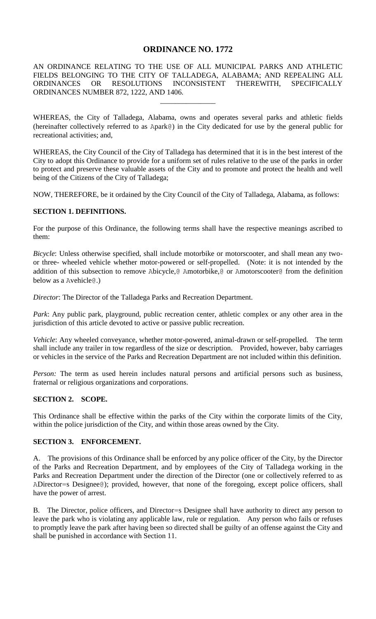# **ORDINANCE NO. 1772**

AN ORDINANCE RELATING TO THE USE OF ALL MUNICIPAL PARKS AND ATHLETIC FIELDS BELONGING TO THE CITY OF TALLADEGA, ALABAMA; AND REPEALING ALL ORDINANCES OR RESOLUTIONS INCONSISTENT THEREWITH, SPECIFICALLY ORDINANCES NUMBER 872, 1222, AND 1406.

\_\_\_\_\_\_\_\_\_\_\_\_\_\_\_

WHEREAS, the City of Talladega, Alabama, owns and operates several parks and athletic fields (hereinafter collectively referred to as Apark@) in the City dedicated for use by the general public for recreational activities; and,

WHEREAS, the City Council of the City of Talladega has determined that it is in the best interest of the City to adopt this Ordinance to provide for a uniform set of rules relative to the use of the parks in order to protect and preserve these valuable assets of the City and to promote and protect the health and well being of the Citizens of the City of Talladega;

NOW, THEREFORE, be it ordained by the City Council of the City of Talladega, Alabama, as follows:

#### **SECTION 1. DEFINITIONS.**

For the purpose of this Ordinance, the following terms shall have the respective meanings ascribed to them:

*Bicycle*: Unless otherwise specified, shall include motorbike or motorscooter, and shall mean any twoor three- wheeled vehicle whether motor-powered or self-propelled. (Note: it is not intended by the addition of this subsection to remove Abicycle,@ Amotorbike,@ or Amotorscooter@ from the definition below as a Avehicle@.)

*Director*: The Director of the Talladega Parks and Recreation Department.

*Park*: Any public park, playground, public recreation center, athletic complex or any other area in the jurisdiction of this article devoted to active or passive public recreation.

*Vehicle*: Any wheeled conveyance, whether motor-powered, animal-drawn or self-propelled. The term shall include any trailer in tow regardless of the size or description. Provided, however, baby carriages or vehicles in the service of the Parks and Recreation Department are not included within this definition.

*Person:* The term as used herein includes natural persons and artificial persons such as business, fraternal or religious organizations and corporations.

#### **SECTION 2. SCOPE.**

This Ordinance shall be effective within the parks of the City within the corporate limits of the City, within the police jurisdiction of the City, and within those areas owned by the City.

### **SECTION 3. ENFORCEMENT.**

A. The provisions of this Ordinance shall be enforced by any police officer of the City, by the Director of the Parks and Recreation Department, and by employees of the City of Talladega working in the Parks and Recreation Department under the direction of the Director (one or collectively referred to as ADirector=s Designee@); provided, however, that none of the foregoing, except police officers, shall have the power of arrest.

B. The Director, police officers, and Director=s Designee shall have authority to direct any person to leave the park who is violating any applicable law, rule or regulation. Any person who fails or refuses to promptly leave the park after having been so directed shall be guilty of an offense against the City and shall be punished in accordance with Section 11.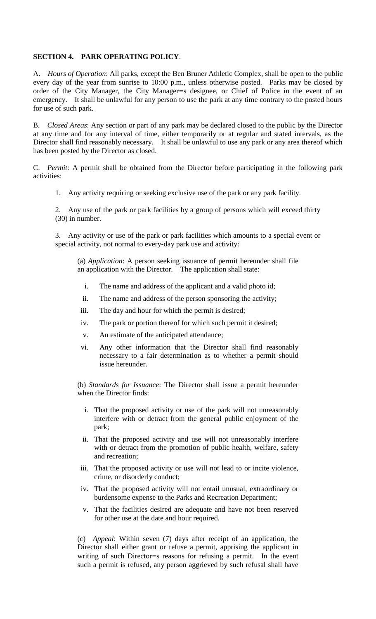### **SECTION 4. PARK OPERATING POLICY**.

A. *Hours of Operation*: All parks, except the Ben Bruner Athletic Complex, shall be open to the public every day of the year from sunrise to 10:00 p.m., unless otherwise posted. Parks may be closed by order of the City Manager, the City Manager=s designee, or Chief of Police in the event of an emergency. It shall be unlawful for any person to use the park at any time contrary to the posted hours for use of such park.

B. *Closed Areas*: Any section or part of any park may be declared closed to the public by the Director at any time and for any interval of time, either temporarily or at regular and stated intervals, as the Director shall find reasonably necessary. It shall be unlawful to use any park or any area thereof which has been posted by the Director as closed.

C. *Permit*: A permit shall be obtained from the Director before participating in the following park activities:

1. Any activity requiring or seeking exclusive use of the park or any park facility.

2. Any use of the park or park facilities by a group of persons which will exceed thirty (30) in number.

3. Any activity or use of the park or park facilities which amounts to a special event or special activity, not normal to every-day park use and activity:

(a) *Application*: A person seeking issuance of permit hereunder shall file an application with the Director. The application shall state:

- i. The name and address of the applicant and a valid photo id;
- ii. The name and address of the person sponsoring the activity;
- iii. The day and hour for which the permit is desired;
- iv. The park or portion thereof for which such permit it desired;
- v. An estimate of the anticipated attendance;
- vi. Any other information that the Director shall find reasonably necessary to a fair determination as to whether a permit should issue hereunder.

(b) *Standards for Issuance*: The Director shall issue a permit hereunder when the Director finds:

- i. That the proposed activity or use of the park will not unreasonably interfere with or detract from the general public enjoyment of the park;
- ii. That the proposed activity and use will not unreasonably interfere with or detract from the promotion of public health, welfare, safety and recreation;
- iii. That the proposed activity or use will not lead to or incite violence, crime, or disorderly conduct;
- iv. That the proposed activity will not entail unusual, extraordinary or burdensome expense to the Parks and Recreation Department;
- v. That the facilities desired are adequate and have not been reserved for other use at the date and hour required.

(c) *Appeal*: Within seven (7) days after receipt of an application, the Director shall either grant or refuse a permit, apprising the applicant in writing of such Director=s reasons for refusing a permit. In the event such a permit is refused, any person aggrieved by such refusal shall have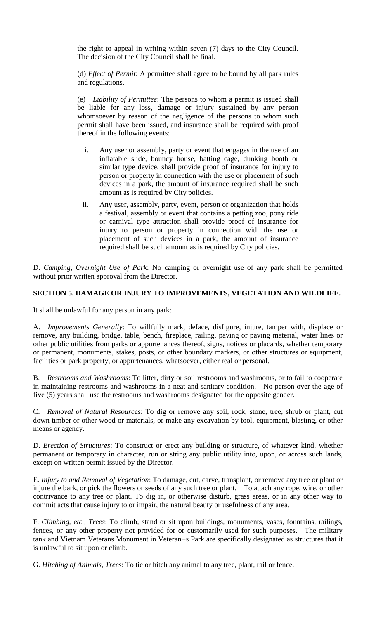the right to appeal in writing within seven (7) days to the City Council. The decision of the City Council shall be final.

(d) *Effect of Permit*: A permittee shall agree to be bound by all park rules and regulations.

(e) *Liability of Permittee*: The persons to whom a permit is issued shall be liable for any loss, damage or injury sustained by any person whomsoever by reason of the negligence of the persons to whom such permit shall have been issued, and insurance shall be required with proof thereof in the following events:

- i. Any user or assembly, party or event that engages in the use of an inflatable slide, bouncy house, batting cage, dunking booth or similar type device, shall provide proof of insurance for injury to person or property in connection with the use or placement of such devices in a park, the amount of insurance required shall be such amount as is required by City policies.
- ii. Any user, assembly, party, event, person or organization that holds a festival, assembly or event that contains a petting zoo, pony ride or carnival type attraction shall provide proof of insurance for injury to person or property in connection with the use or placement of such devices in a park, the amount of insurance required shall be such amount as is required by City policies.

D. *Camping, Overnight Use of Park*: No camping or overnight use of any park shall be permitted without prior written approval from the Director.

### **SECTION 5. DAMAGE OR INJURY TO IMPROVEMENTS, VEGETATION AND WILDLIFE.**

It shall be unlawful for any person in any park:

A. *Improvements Generally*: To willfully mark, deface, disfigure, injure, tamper with, displace or remove, any building, bridge, table, bench, fireplace, railing, paving or paving material, water lines or other public utilities from parks or appurtenances thereof, signs, notices or placards, whether temporary or permanent, monuments, stakes, posts, or other boundary markers, or other structures or equipment, facilities or park property, or appurtenances, whatsoever, either real or personal.

B. *Restrooms and Washrooms*: To litter, dirty or soil restrooms and washrooms, or to fail to cooperate in maintaining restrooms and washrooms in a neat and sanitary condition. No person over the age of five (5) years shall use the restrooms and washrooms designated for the opposite gender.

C. *Removal of Natural Resources*: To dig or remove any soil, rock, stone, tree, shrub or plant, cut down timber or other wood or materials, or make any excavation by tool, equipment, blasting, or other means or agency.

D. *Erection of Structures*: To construct or erect any building or structure, of whatever kind, whether permanent or temporary in character, run or string any public utility into, upon, or across such lands, except on written permit issued by the Director.

E. *Injury to and Removal of Vegetation*: To damage, cut, carve, transplant, or remove any tree or plant or injure the bark, or pick the flowers or seeds of any such tree or plant. To attach any rope, wire, or other contrivance to any tree or plant. To dig in, or otherwise disturb, grass areas, or in any other way to commit acts that cause injury to or impair, the natural beauty or usefulness of any area.

F. *Climbing, etc., Trees*: To climb, stand or sit upon buildings, monuments, vases, fountains, railings, fences, or any other property not provided for or customarily used for such purposes. The military tank and Vietnam Veterans Monument in Veteran=s Park are specifically designated as structures that it is unlawful to sit upon or climb.

G. *Hitching of Animals, Trees*: To tie or hitch any animal to any tree, plant, rail or fence.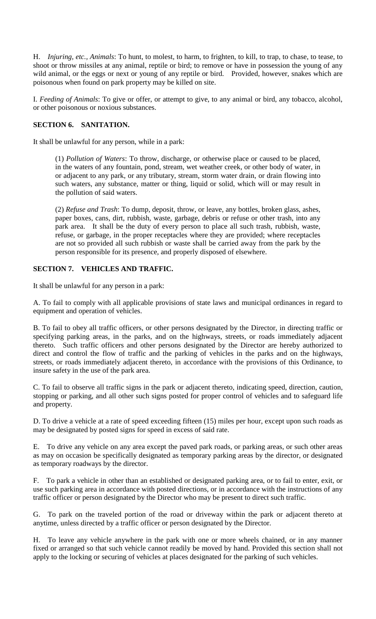H. *Injuring, etc., Animals*: To hunt, to molest, to harm, to frighten, to kill, to trap, to chase, to tease, to shoot or throw missiles at any animal, reptile or bird; to remove or have in possession the young of any wild animal, or the eggs or next or young of any reptile or bird. Provided, however, snakes which are poisonous when found on park property may be killed on site.

I. *Feeding of Animals*: To give or offer, or attempt to give, to any animal or bird, any tobacco, alcohol, or other poisonous or noxious substances.

### **SECTION 6. SANITATION.**

It shall be unlawful for any person, while in a park:

(1) *Pollution of Waters*: To throw, discharge, or otherwise place or caused to be placed, in the waters of any fountain, pond, stream, wet weather creek, or other body of water, in or adjacent to any park, or any tributary, stream, storm water drain, or drain flowing into such waters, any substance, matter or thing, liquid or solid, which will or may result in the pollution of said waters.

(2) *Refuse and Trash*: To dump, deposit, throw, or leave, any bottles, broken glass, ashes, paper boxes, cans, dirt, rubbish, waste, garbage, debris or refuse or other trash, into any park area. It shall be the duty of every person to place all such trash, rubbish, waste, refuse, or garbage, in the proper receptacles where they are provided; where receptacles are not so provided all such rubbish or waste shall be carried away from the park by the person responsible for its presence, and properly disposed of elsewhere.

### **SECTION 7. VEHICLES AND TRAFFIC.**

It shall be unlawful for any person in a park:

A. To fail to comply with all applicable provisions of state laws and municipal ordinances in regard to equipment and operation of vehicles.

B. To fail to obey all traffic officers, or other persons designated by the Director, in directing traffic or specifying parking areas, in the parks, and on the highways, streets, or roads immediately adjacent thereto. Such traffic officers and other persons designated by the Director are hereby authorized to direct and control the flow of traffic and the parking of vehicles in the parks and on the highways, streets, or roads immediately adjacent thereto, in accordance with the provisions of this Ordinance, to insure safety in the use of the park area.

C. To fail to observe all traffic signs in the park or adjacent thereto, indicating speed, direction, caution, stopping or parking, and all other such signs posted for proper control of vehicles and to safeguard life and property.

D. To drive a vehicle at a rate of speed exceeding fifteen (15) miles per hour, except upon such roads as may be designated by posted signs for speed in excess of said rate.

E. To drive any vehicle on any area except the paved park roads, or parking areas, or such other areas as may on occasion be specifically designated as temporary parking areas by the director, or designated as temporary roadways by the director.

F. To park a vehicle in other than an established or designated parking area, or to fail to enter, exit, or use such parking area in accordance with posted directions, or in accordance with the instructions of any traffic officer or person designated by the Director who may be present to direct such traffic.

G. To park on the traveled portion of the road or driveway within the park or adjacent thereto at anytime, unless directed by a traffic officer or person designated by the Director.

H. To leave any vehicle anywhere in the park with one or more wheels chained, or in any manner fixed or arranged so that such vehicle cannot readily be moved by hand. Provided this section shall not apply to the locking or securing of vehicles at places designated for the parking of such vehicles.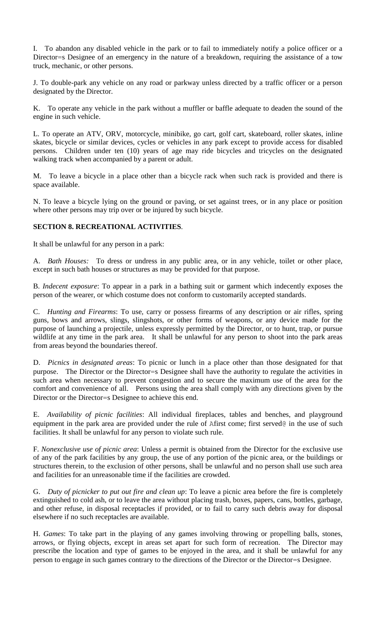I. To abandon any disabled vehicle in the park or to fail to immediately notify a police officer or a Director=s Designee of an emergency in the nature of a breakdown, requiring the assistance of a tow truck, mechanic, or other persons.

J. To double-park any vehicle on any road or parkway unless directed by a traffic officer or a person designated by the Director.

K. To operate any vehicle in the park without a muffler or baffle adequate to deaden the sound of the engine in such vehicle.

L. To operate an ATV, ORV, motorcycle, minibike, go cart, golf cart, skateboard, roller skates, inline skates, bicycle or similar devices, cycles or vehicles in any park except to provide access for disabled persons. Children under ten (10) years of age may ride bicycles and tricycles on the designated walking track when accompanied by a parent or adult.

M. To leave a bicycle in a place other than a bicycle rack when such rack is provided and there is space available.

N. To leave a bicycle lying on the ground or paving, or set against trees, or in any place or position where other persons may trip over or be injured by such bicycle.

### **SECTION 8. RECREATIONAL ACTIVITIES**.

It shall be unlawful for any person in a park:

A. *Bath Houses:* To dress or undress in any public area, or in any vehicle, toilet or other place, except in such bath houses or structures as may be provided for that purpose.

B. *Indecent exposure*: To appear in a park in a bathing suit or garment which indecently exposes the person of the wearer, or which costume does not conform to customarily accepted standards.

C. *Hunting and Firearms*: To use, carry or possess firearms of any description or air rifles, spring guns, bows and arrows, slings, slingshots, or other forms of weapons, or any device made for the purpose of launching a projectile, unless expressly permitted by the Director, or to hunt, trap, or pursue wildlife at any time in the park area. It shall be unlawful for any person to shoot into the park areas from areas beyond the boundaries thereof.

D. *Picnics in designated areas*: To picnic or lunch in a place other than those designated for that purpose. The Director or the Director=s Designee shall have the authority to regulate the activities in such area when necessary to prevent congestion and to secure the maximum use of the area for the comfort and convenience of all. Persons using the area shall comply with any directions given by the Director or the Director=s Designee to achieve this end.

E. *Availability of picnic facilities*: All individual fireplaces, tables and benches, and playground equipment in the park area are provided under the rule of Afirst come; first served@ in the use of such facilities. It shall be unlawful for any person to violate such rule.

F. *Nonexclusive use of picnic area*: Unless a permit is obtained from the Director for the exclusive use of any of the park facilities by any group, the use of any portion of the picnic area, or the buildings or structures therein, to the exclusion of other persons, shall be unlawful and no person shall use such area and facilities for an unreasonable time if the facilities are crowded.

G. *Duty of picnicker to put out fire and clean up*: To leave a picnic area before the fire is completely extinguished to cold ash, or to leave the area without placing trash, boxes, papers, cans, bottles, garbage, and other refuse, in disposal receptacles if provided, or to fail to carry such debris away for disposal elsewhere if no such receptacles are available.

H. *Games*: To take part in the playing of any games involving throwing or propelling balls, stones, arrows, or flying objects, except in areas set apart for such form of recreation. The Director may prescribe the location and type of games to be enjoyed in the area, and it shall be unlawful for any person to engage in such games contrary to the directions of the Director or the Director=s Designee.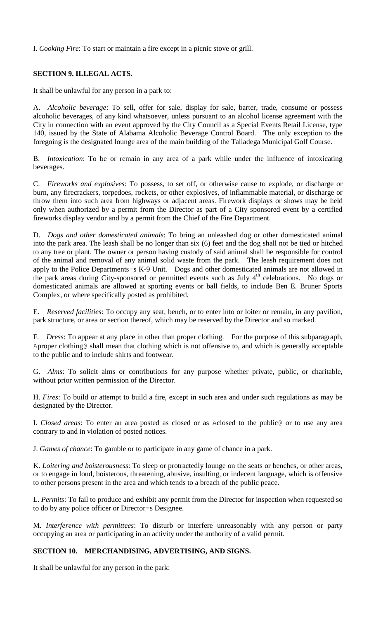I. *Cooking Fire*: To start or maintain a fire except in a picnic stove or grill.

## **SECTION 9. ILLEGAL ACTS**.

It shall be unlawful for any person in a park to:

A. *Alcoholic beverage*: To sell, offer for sale, display for sale, barter, trade, consume or possess alcoholic beverages, of any kind whatsoever, unless pursuant to an alcohol license agreement with the City in connection with an event approved by the City Council as a Special Events Retail License, type 140, issued by the State of Alabama Alcoholic Beverage Control Board. The only exception to the foregoing is the designated lounge area of the main building of the Talladega Municipal Golf Course.

B. *Intoxication*: To be or remain in any area of a park while under the influence of intoxicating beverages.

C. *Fireworks and explosives*: To possess, to set off, or otherwise cause to explode, or discharge or burn, any firecrackers, torpedoes, rockets, or other explosives, of inflammable material, or discharge or throw them into such area from highways or adjacent areas. Firework displays or shows may be held only when authorized by a permit from the Director as part of a City sponsored event by a certified fireworks display vendor and by a permit from the Chief of the Fire Department.

D. *Dogs and other domesticated animals*: To bring an unleashed dog or other domesticated animal into the park area. The leash shall be no longer than six (6) feet and the dog shall not be tied or hitched to any tree or plant. The owner or person having custody of said animal shall be responsible for control of the animal and removal of any animal solid waste from the park. The leash requirement does not apply to the Police Departments=s K-9 Unit. Dogs and other domesticated animals are not allowed in the park areas during City-sponsored or permitted events such as July 4<sup>th</sup> celebrations. No dogs or domesticated animals are allowed at sporting events or ball fields, to include Ben E. Bruner Sports Complex, or where specifically posted as prohibited.

E. *Reserved facilities*: To occupy any seat, bench, or to enter into or loiter or remain, in any pavilion, park structure, or area or section thereof, which may be reserved by the Director and so marked.

F. *Dress*: To appear at any place in other than proper clothing. For the purpose of this subparagraph, Aproper clothing@ shall mean that clothing which is not offensive to, and which is generally acceptable to the public and to include shirts and footwear.

G. *Alms*: To solicit alms or contributions for any purpose whether private, public, or charitable, without prior written permission of the Director.

H. *Fires*: To build or attempt to build a fire, except in such area and under such regulations as may be designated by the Director.

I. *Closed areas*: To enter an area posted as closed or as Aclosed to the public@ or to use any area contrary to and in violation of posted notices.

J. *Games of chance*: To gamble or to participate in any game of chance in a park.

K. *Loitering and boisterousness*: To sleep or protractedly lounge on the seats or benches, or other areas, or to engage in loud, boisterous, threatening, abusive, insulting, or indecent language, which is offensive to other persons present in the area and which tends to a breach of the public peace.

L. *Permits*: To fail to produce and exhibit any permit from the Director for inspection when requested so to do by any police officer or Director=s Designee.

M. *Interference with permittees*: To disturb or interfere unreasonably with any person or party occupying an area or participating in an activity under the authority of a valid permit.

## **SECTION 10. MERCHANDISING, ADVERTISING, AND SIGNS.**

It shall be unlawful for any person in the park: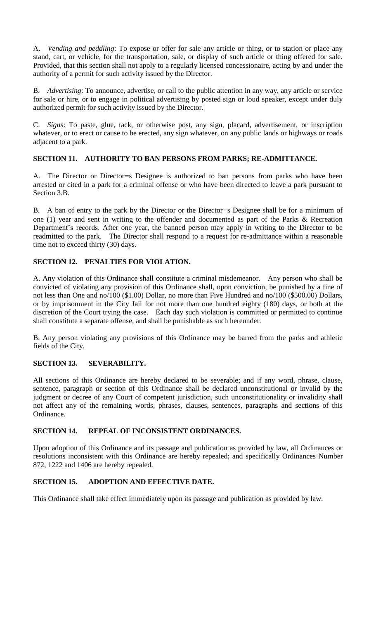A. *Vending and peddling*: To expose or offer for sale any article or thing, or to station or place any stand, cart, or vehicle, for the transportation, sale, or display of such article or thing offered for sale. Provided, that this section shall not apply to a regularly licensed concessionaire, acting by and under the authority of a permit for such activity issued by the Director.

B. *Advertising*: To announce, advertise, or call to the public attention in any way, any article or service for sale or hire, or to engage in political advertising by posted sign or loud speaker, except under duly authorized permit for such activity issued by the Director.

C. *Signs*: To paste, glue, tack, or otherwise post, any sign, placard, advertisement, or inscription whatever, or to erect or cause to be erected, any sign whatever, on any public lands or highways or roads adjacent to a park.

### **SECTION 11. AUTHORITY TO BAN PERSONS FROM PARKS; RE-ADMITTANCE.**

A. The Director or Director=s Designee is authorized to ban persons from parks who have been arrested or cited in a park for a criminal offense or who have been directed to leave a park pursuant to Section 3.B.

B. A ban of entry to the park by the Director or the Director=s Designee shall be for a minimum of one (1) year and sent in writing to the offender and documented as part of the Parks & Recreation Department's records. After one year, the banned person may apply in writing to the Director to be readmitted to the park. The Director shall respond to a request for re-admittance within a reasonable time not to exceed thirty (30) days.

### **SECTION 12. PENALTIES FOR VIOLATION.**

A. Any violation of this Ordinance shall constitute a criminal misdemeanor. Any person who shall be convicted of violating any provision of this Ordinance shall, upon conviction, be punished by a fine of not less than One and no/100 (\$1.00) Dollar, no more than Five Hundred and no/100 (\$500.00) Dollars, or by imprisonment in the City Jail for not more than one hundred eighty (180) days, or both at the discretion of the Court trying the case. Each day such violation is committed or permitted to continue shall constitute a separate offense, and shall be punishable as such hereunder.

B. Any person violating any provisions of this Ordinance may be barred from the parks and athletic fields of the City.

## **SECTION 13. SEVERABILITY.**

All sections of this Ordinance are hereby declared to be severable; and if any word, phrase, clause, sentence, paragraph or section of this Ordinance shall be declared unconstitutional or invalid by the judgment or decree of any Court of competent jurisdiction, such unconstitutionality or invalidity shall not affect any of the remaining words, phrases, clauses, sentences, paragraphs and sections of this Ordinance.

#### **SECTION 14. REPEAL OF INCONSISTENT ORDINANCES.**

Upon adoption of this Ordinance and its passage and publication as provided by law, all Ordinances or resolutions inconsistent with this Ordinance are hereby repealed; and specifically Ordinances Number 872, 1222 and 1406 are hereby repealed.

### **SECTION 15. ADOPTION AND EFFECTIVE DATE.**

This Ordinance shall take effect immediately upon its passage and publication as provided by law.